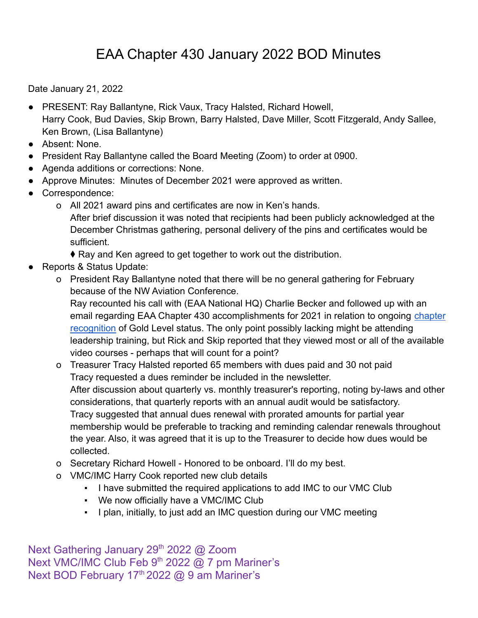Date January 21, 2022

- PRESENT: Ray Ballantyne, Rick Vaux, Tracy Halsted, Richard Howell, Harry Cook, Bud Davies, Skip Brown, Barry Halsted, Dave Miller, Scott Fitzgerald, Andy Sallee, Ken Brown, (Lisa Ballantyne)
- Absent: None.
- President Ray Ballantyne called the Board Meeting (Zoom) to order at 0900.
- Agenda additions or corrections: None.
- Approve Minutes: Minutes of December 2021 were approved as written.
- Correspondence:
	- o All 2021 award pins and certificates are now in Ken's hands. After brief discussion it was noted that recipients had been publicly acknowledged at the December Christmas gathering, personal delivery of the pins and certificates would be sufficient.
		- ♦ Ray and Ken agreed to get together to work out the distribution.
- Reports & Status Update:
	- o President Ray Ballantyne noted that there will be no general gathering for February because of the NW Aviation Conference.

Ray recounted his call with (EAA National HQ) Charlie Becker and followed up with an email regarding EAA Chapter 430 accomplishments for 2021 in relation to ongoing [chapter](https://www.eaa.org/eaa/eaa-chapters/eaa-chapter-resources/managing-your-chapter/chapter-recognition) [recognition](https://www.eaa.org/eaa/eaa-chapters/eaa-chapter-resources/managing-your-chapter/chapter-recognition) of Gold Level status. The only point possibly lacking might be attending leadership training, but Rick and Skip reported that they viewed most or all of the available video courses - perhaps that will count for a point?

- o Treasurer Tracy Halsted reported 65 members with dues paid and 30 not paid Tracy requested a dues reminder be included in the newsletter. After discussion about quarterly vs. monthly treasurer's reporting, noting by-laws and other considerations, that quarterly reports with an annual audit would be satisfactory. Tracy suggested that annual dues renewal with prorated amounts for partial year membership would be preferable to tracking and reminding calendar renewals throughout the year. Also, it was agreed that it is up to the Treasurer to decide how dues would be collected.
- o Secretary Richard Howell Honored to be onboard. I'll do my best.
- o VMC/IMC Harry Cook reported new club details
	- I have submitted the required applications to add IMC to our VMC Club
	- We now officially have a VMC/IMC Club
	- I plan, initially, to just add an IMC question during our VMC meeting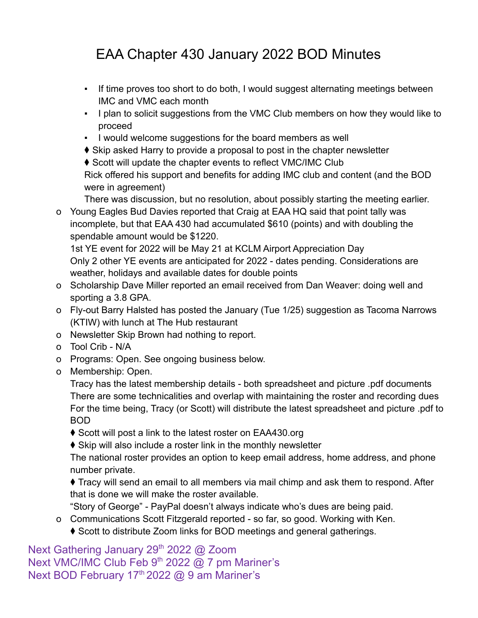- If time proves too short to do both, I would suggest alternating meetings between IMC and VMC each month
- I plan to solicit suggestions from the VMC Club members on how they would like to proceed
- I would welcome suggestions for the board members as well
- ♦ Skip asked Harry to provide a proposal to post in the chapter newsletter

♦ Scott will update the chapter events to reflect VMC/IMC Club Rick offered his support and benefits for adding IMC club and content (and the BOD were in agreement)

There was discussion, but no resolution, about possibly starting the meeting earlier.

o Young Eagles Bud Davies reported that Craig at EAA HQ said that point tally was incomplete, but that EAA 430 had accumulated \$610 (points) and with doubling the spendable amount would be \$1220.

1st YE event for 2022 will be May 21 at KCLM Airport Appreciation Day Only 2 other YE events are anticipated for 2022 - dates pending. Considerations are weather, holidays and available dates for double points

- o Scholarship Dave Miller reported an email received from Dan Weaver: doing well and sporting a 3.8 GPA.
- o Fly-out Barry Halsted has posted the January (Tue 1/25) suggestion as Tacoma Narrows (KTIW) with lunch at The Hub restaurant
- o Newsletter Skip Brown had nothing to report.
- o Tool Crib N/A
- o Programs: Open. See ongoing business below.
- o Membership: Open.

Tracy has the latest membership details - both spreadsheet and picture .pdf documents There are some technicalities and overlap with maintaining the roster and recording dues For the time being, Tracy (or Scott) will distribute the latest spreadsheet and picture .pdf to BOD

◆ Scott will post a link to the latest roster on EAA430.org

♦ Skip will also include a roster link in the monthly newsletter

The national roster provides an option to keep email address, home address, and phone number private.

⧫ Tracy will send an email to all members via mail chimp and ask them to respond. After that is done we will make the roster available.

"Story of George" - PayPal doesn't always indicate who's dues are being paid.

o Communications Scott Fitzgerald reported - so far, so good. Working with Ken. ♦ Scott to distribute Zoom links for BOD meetings and general gatherings.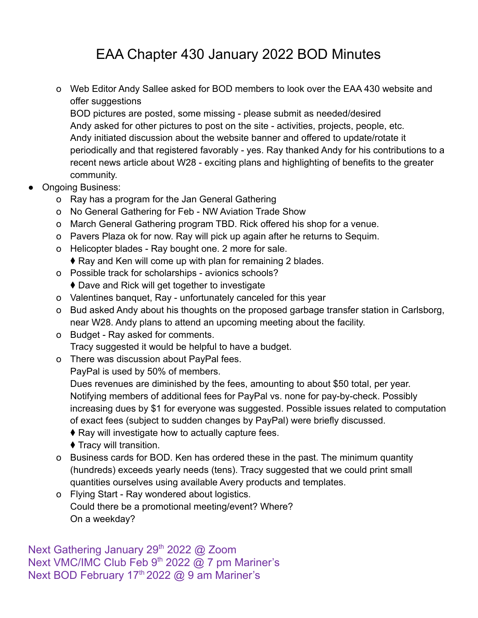o Web Editor Andy Sallee asked for BOD members to look over the EAA 430 website and offer suggestions

BOD pictures are posted, some missing - please submit as needed/desired Andy asked for other pictures to post on the site - activities, projects, people, etc. Andy initiated discussion about the website banner and offered to update/rotate it periodically and that registered favorably - yes. Ray thanked Andy for his contributions to a recent news article about W28 - exciting plans and highlighting of benefits to the greater community.

- **Ongoing Business:** 
	- o Ray has a program for the Jan General Gathering
	- o No General Gathering for Feb NW Aviation Trade Show
	- o March General Gathering program TBD. Rick offered his shop for a venue.
	- o Pavers Plaza ok for now. Ray will pick up again after he returns to Sequim.
	- o Helicopter blades Ray bought one. 2 more for sale.
		- ♦ Ray and Ken will come up with plan for remaining 2 blades.
	- o Possible track for scholarships avionics schools?
		- ♦ Dave and Rick will get together to investigate
	- o Valentines banquet, Ray unfortunately canceled for this year
	- o Bud asked Andy about his thoughts on the proposed garbage transfer station in Carlsborg, near W28. Andy plans to attend an upcoming meeting about the facility.
	- o Budget Ray asked for comments. Tracy suggested it would be helpful to have a budget.
	- o There was discussion about PayPal fees.

PayPal is used by 50% of members.

Dues revenues are diminished by the fees, amounting to about \$50 total, per year. Notifying members of additional fees for PayPal vs. none for pay-by-check. Possibly increasing dues by \$1 for everyone was suggested. Possible issues related to computation of exact fees (subject to sudden changes by PayPal) were briefly discussed.

- ♦ Ray will investigate how to actually capture fees.
- ⧫ Tracy will transition.
- o Business cards for BOD. Ken has ordered these in the past. The minimum quantity (hundreds) exceeds yearly needs (tens). Tracy suggested that we could print small quantities ourselves using available Avery products and templates.
- o Flying Start Ray wondered about logistics. Could there be a promotional meeting/event? Where? On a weekday?